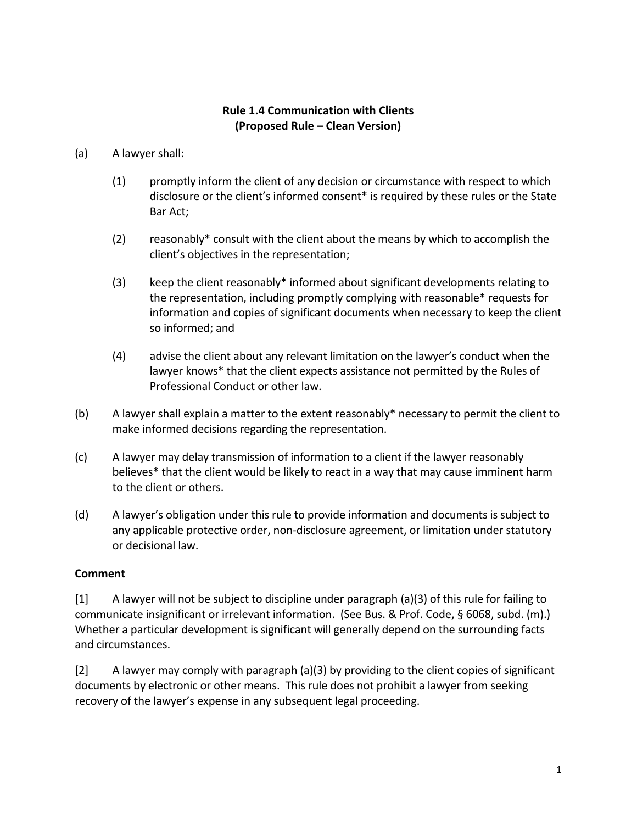## **Rule 1.4 Communication with Clients (Proposed Rule – Clean Version)**

- (a) A lawyer shall:
	- (1) promptly inform the client of any decision or circumstance with respect to which disclosure or the client's informed consent\* is required by these rules or the State Bar Act;
	- (2) reasonably\* consult with the client about the means by which to accomplish the client's objectives in the representation;
	- (3) keep the client reasonably\* informed about significant developments relating to the representation, including promptly complying with reasonable\* requests for information and copies of significant documents when necessary to keep the client so informed; and
	- (4) advise the client about any relevant limitation on the lawyer's conduct when the lawyer knows\* that the client expects assistance not permitted by the Rules of Professional Conduct or other law.
- (b) A lawyer shall explain a matter to the extent reasonably\* necessary to permit the client to make informed decisions regarding the representation.
- (c) A lawyer may delay transmission of information to a client if the lawyer reasonably believes\* that the client would be likely to react in a way that may cause imminent harm to the client or others.
- (d) A lawyer's obligation under this rule to provide information and documents is subject to any applicable protective order, non-disclosure agreement, or limitation under statutory or decisional law.

## **Comment**

[1] A lawyer will not be subject to discipline under paragraph (a)(3) of this rule for failing to communicate insignificant or irrelevant information. (See Bus. & Prof. Code, § 6068, subd. (m).) Whether a particular development is significant will generally depend on the surrounding facts and circumstances.

[2] A lawyer may comply with paragraph (a)(3) by providing to the client copies of significant documents by electronic or other means. This rule does not prohibit a lawyer from seeking recovery of the lawyer's expense in any subsequent legal proceeding.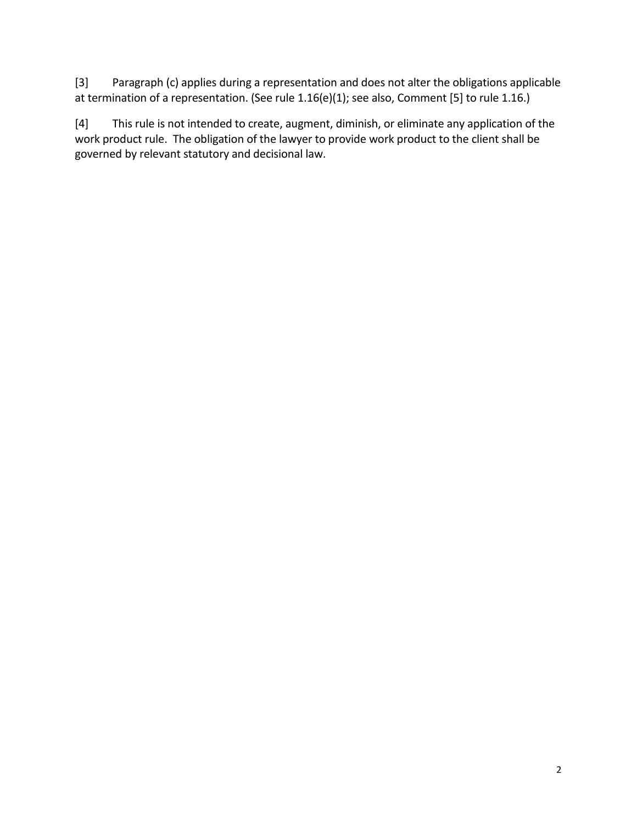[3] Paragraph (c) applies during a representation and does not alter the obligations applicable at termination of a representation. (See rule 1.16(e)(1); see also, Comment [5] to rule 1.16.)

[4] This rule is not intended to create, augment, diminish, or eliminate any application of the work product rule. The obligation of the lawyer to provide work product to the client shall be governed by relevant statutory and decisional law.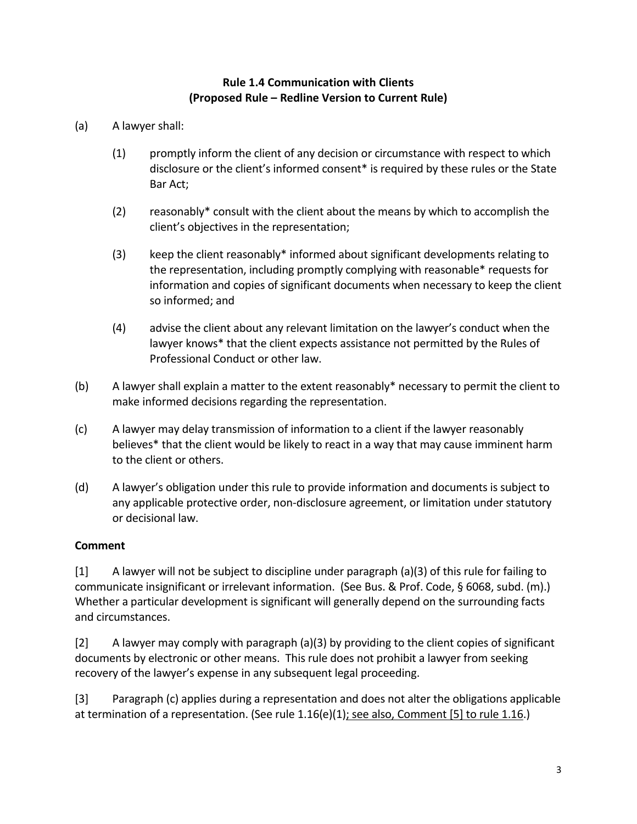## **Rule 1.4 Communication with Clients (Proposed Rule – Redline Version to Current Rule)**

- (a) A lawyer shall:
	- (1) promptly inform the client of any decision or circumstance with respect to which disclosure or the client's informed consent\* is required by these rules or the State Bar Act;
	- (2) reasonably\* consult with the client about the means by which to accomplish the client's objectives in the representation;
	- (3) keep the client reasonably\* informed about significant developments relating to the representation, including promptly complying with reasonable\* requests for information and copies of significant documents when necessary to keep the client so informed; and
	- (4) advise the client about any relevant limitation on the lawyer's conduct when the lawyer knows\* that the client expects assistance not permitted by the Rules of Professional Conduct or other law.
- (b) A lawyer shall explain a matter to the extent reasonably\* necessary to permit the client to make informed decisions regarding the representation.
- (c) A lawyer may delay transmission of information to a client if the lawyer reasonably believes\* that the client would be likely to react in a way that may cause imminent harm to the client or others.
- (d) A lawyer's obligation under this rule to provide information and documents is subject to any applicable protective order, non-disclosure agreement, or limitation under statutory or decisional law.

## **Comment**

[1] A lawyer will not be subject to discipline under paragraph (a)(3) of this rule for failing to communicate insignificant or irrelevant information. (See Bus. & Prof. Code, § 6068, subd. (m).) Whether a particular development is significant will generally depend on the surrounding facts and circumstances.

[2] A lawyer may comply with paragraph (a)(3) by providing to the client copies of significant documents by electronic or other means. This rule does not prohibit a lawyer from seeking recovery of the lawyer's expense in any subsequent legal proceeding.

[3] Paragraph (c) applies during a representation and does not alter the obligations applicable at termination of a representation. (See rule 1.16(e)(1); see also, Comment [5] to rule 1.16.)